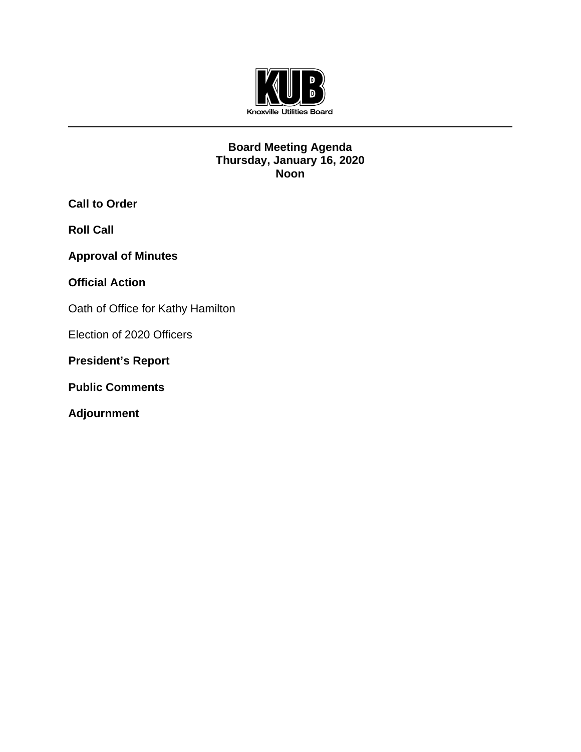

# **Board Meeting Agenda Thursday, January 16, 2020 Noon**

**Call to Order**

**Roll Call**

**Approval of Minutes**

**Official Action** 

Oath of Office for Kathy Hamilton

Election of 2020 Officers

**President's Report**

**Public Comments** 

**Adjournment**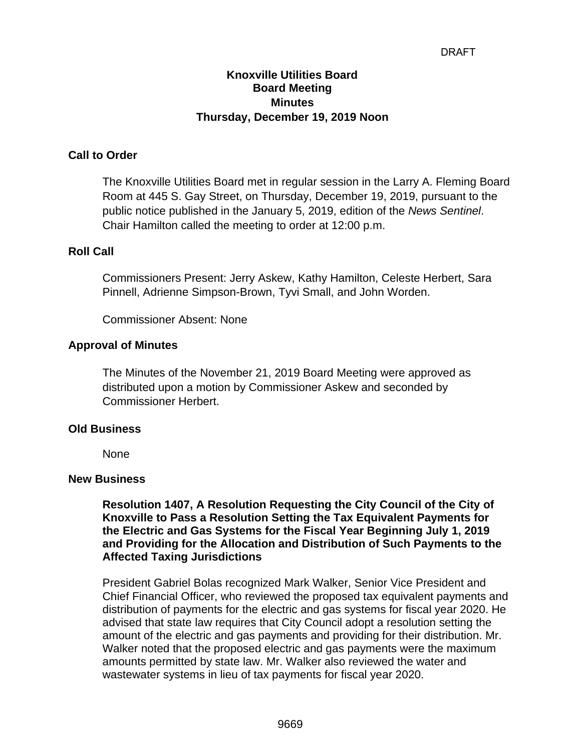#### DRAFT

# **Knoxville Utilities Board Board Meeting Minutes Thursday, December 19, 2019 Noon**

# **Call to Order**

The Knoxville Utilities Board met in regular session in the Larry A. Fleming Board Room at 445 S. Gay Street, on Thursday, December 19, 2019, pursuant to the public notice published in the January 5, 2019, edition of the *News Sentinel*. Chair Hamilton called the meeting to order at 12:00 p.m.

#### **Roll Call**

Commissioners Present: Jerry Askew, Kathy Hamilton, Celeste Herbert, Sara Pinnell, Adrienne Simpson-Brown, Tyvi Small, and John Worden.

Commissioner Absent: None

#### **Approval of Minutes**

The Minutes of the November 21, 2019 Board Meeting were approved as distributed upon a motion by Commissioner Askew and seconded by Commissioner Herbert.

#### **Old Business**

None

#### **New Business**

**Resolution 1407, A Resolution Requesting the City Council of the City of Knoxville to Pass a Resolution Setting the Tax Equivalent Payments for the Electric and Gas Systems for the Fiscal Year Beginning July 1, 2019 and Providing for the Allocation and Distribution of Such Payments to the Affected Taxing Jurisdictions**

President Gabriel Bolas recognized Mark Walker, Senior Vice President and Chief Financial Officer, who reviewed the proposed tax equivalent payments and distribution of payments for the electric and gas systems for fiscal year 2020. He advised that state law requires that City Council adopt a resolution setting the amount of the electric and gas payments and providing for their distribution. Mr. Walker noted that the proposed electric and gas payments were the maximum amounts permitted by state law. Mr. Walker also reviewed the water and wastewater systems in lieu of tax payments for fiscal year 2020.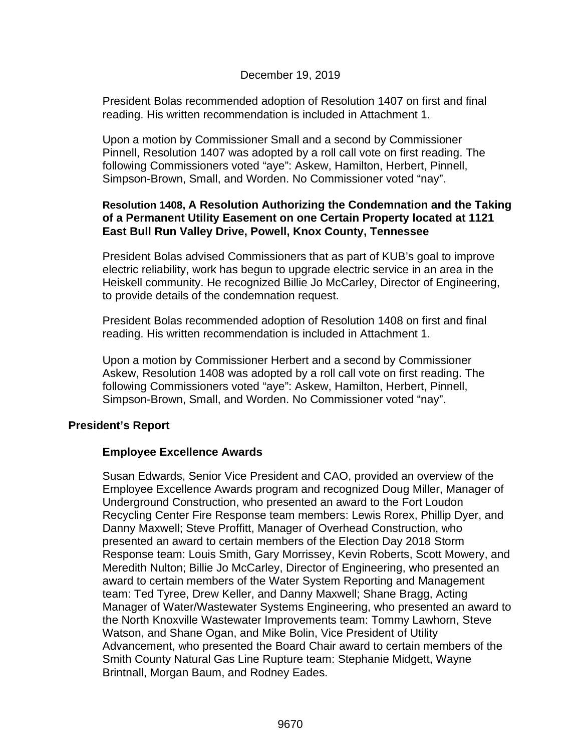# December 19, 2019

President Bolas recommended adoption of Resolution 1407 on first and final reading. His written recommendation is included in Attachment 1.

Upon a motion by Commissioner Small and a second by Commissioner Pinnell, Resolution 1407 was adopted by a roll call vote on first reading. The following Commissioners voted "aye": Askew, Hamilton, Herbert, Pinnell, Simpson-Brown, Small, and Worden. No Commissioner voted "nay".

#### **Resolution 1408, A Resolution Authorizing the Condemnation and the Taking of a Permanent Utility Easement on one Certain Property located at 1121 East Bull Run Valley Drive, Powell, Knox County, Tennessee**

President Bolas advised Commissioners that as part of KUB's goal to improve electric reliability, work has begun to upgrade electric service in an area in the Heiskell community. He recognized Billie Jo McCarley, Director of Engineering, to provide details of the condemnation request.

President Bolas recommended adoption of Resolution 1408 on first and final reading. His written recommendation is included in Attachment 1.

Upon a motion by Commissioner Herbert and a second by Commissioner Askew, Resolution 1408 was adopted by a roll call vote on first reading. The following Commissioners voted "aye": Askew, Hamilton, Herbert, Pinnell, Simpson-Brown, Small, and Worden. No Commissioner voted "nay".

# **President's Report**

# **Employee Excellence Awards**

Susan Edwards, Senior Vice President and CAO, provided an overview of the Employee Excellence Awards program and recognized Doug Miller, Manager of Underground Construction, who presented an award to the Fort Loudon Recycling Center Fire Response team members: Lewis Rorex, Phillip Dyer, and Danny Maxwell; Steve Proffitt, Manager of Overhead Construction, who presented an award to certain members of the Election Day 2018 Storm Response team: Louis Smith, Gary Morrissey, Kevin Roberts, Scott Mowery, and Meredith Nulton; Billie Jo McCarley, Director of Engineering, who presented an award to certain members of the Water System Reporting and Management team: Ted Tyree, Drew Keller, and Danny Maxwell; Shane Bragg, Acting Manager of Water/Wastewater Systems Engineering, who presented an award to the North Knoxville Wastewater Improvements team: Tommy Lawhorn, Steve Watson, and Shane Ogan, and Mike Bolin, Vice President of Utility Advancement, who presented the Board Chair award to certain members of the Smith County Natural Gas Line Rupture team: Stephanie Midgett, Wayne Brintnall, Morgan Baum, and Rodney Eades.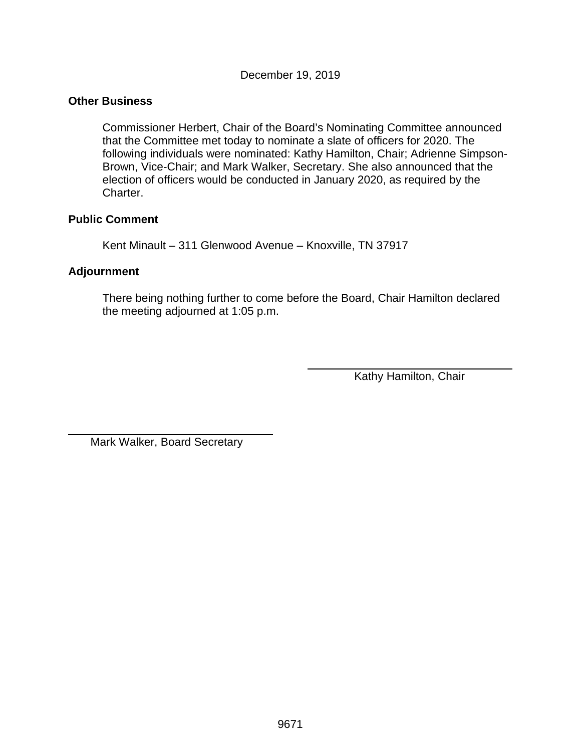December 19, 2019

#### **Other Business**

Commissioner Herbert, Chair of the Board's Nominating Committee announced that the Committee met today to nominate a slate of officers for 2020. The following individuals were nominated: Kathy Hamilton, Chair; Adrienne Simpson-Brown, Vice-Chair; and Mark Walker, Secretary. She also announced that the election of officers would be conducted in January 2020, as required by the Charter.

#### **Public Comment**

Kent Minault – 311 Glenwood Avenue – Knoxville, TN 37917

# **Adjournment**

 $\overline{a}$ 

There being nothing further to come before the Board, Chair Hamilton declared the meeting adjourned at 1:05 p.m.

Kathy Hamilton, Chair

Mark Walker, Board Secretary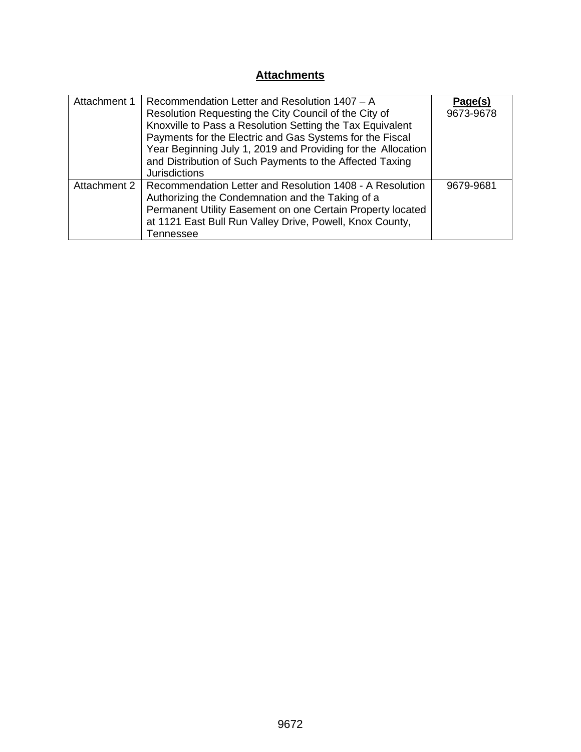# **Attachments**

| Attachment 1 | Recommendation Letter and Resolution 1407 - A<br>Resolution Requesting the City Council of the City of<br>Knoxville to Pass a Resolution Setting the Tax Equivalent<br>Payments for the Electric and Gas Systems for the Fiscal<br>Year Beginning July 1, 2019 and Providing for the Allocation<br>and Distribution of Such Payments to the Affected Taxing | Page(s)<br>9673-9678 |
|--------------|-------------------------------------------------------------------------------------------------------------------------------------------------------------------------------------------------------------------------------------------------------------------------------------------------------------------------------------------------------------|----------------------|
|              | <b>Jurisdictions</b>                                                                                                                                                                                                                                                                                                                                        |                      |
| Attachment 2 | Recommendation Letter and Resolution 1408 - A Resolution<br>Authorizing the Condemnation and the Taking of a<br>Permanent Utility Easement on one Certain Property located<br>at 1121 East Bull Run Valley Drive, Powell, Knox County,<br>Tennessee                                                                                                         | 9679-9681            |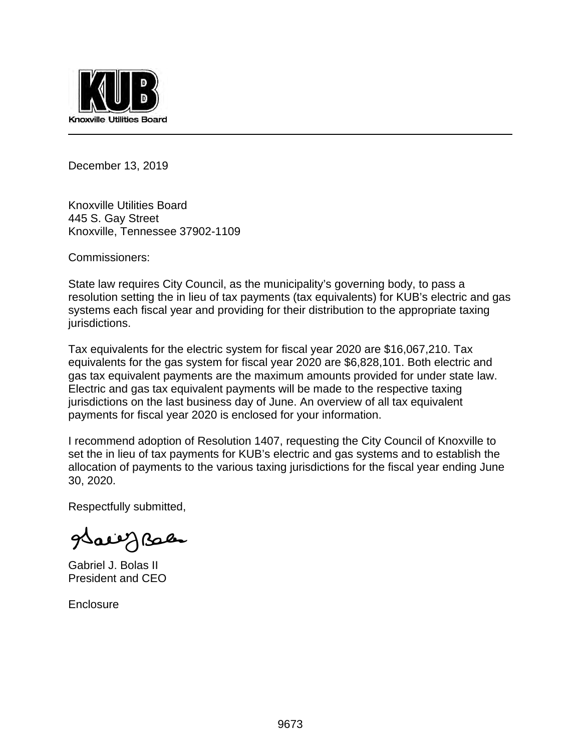

December 13, 2019

Knoxville Utilities Board 445 S. Gay Street Knoxville, Tennessee 37902-1109

Commissioners:

State law requires City Council, as the municipality's governing body, to pass a resolution setting the in lieu of tax payments (tax equivalents) for KUB's electric and gas systems each fiscal year and providing for their distribution to the appropriate taxing jurisdictions.

Tax equivalents for the electric system for fiscal year 2020 are \$16,067,210. Tax equivalents for the gas system for fiscal year 2020 are \$6,828,101. Both electric and gas tax equivalent payments are the maximum amounts provided for under state law. Electric and gas tax equivalent payments will be made to the respective taxing jurisdictions on the last business day of June. An overview of all tax equivalent payments for fiscal year 2020 is enclosed for your information.

I recommend adoption of Resolution 1407, requesting the City Council of Knoxville to set the in lieu of tax payments for KUB's electric and gas systems and to establish the allocation of payments to the various taxing jurisdictions for the fiscal year ending June 30, 2020.

Respectfully submitted,

Sall Jelen

Gabriel J. Bolas II President and CEO

**Enclosure**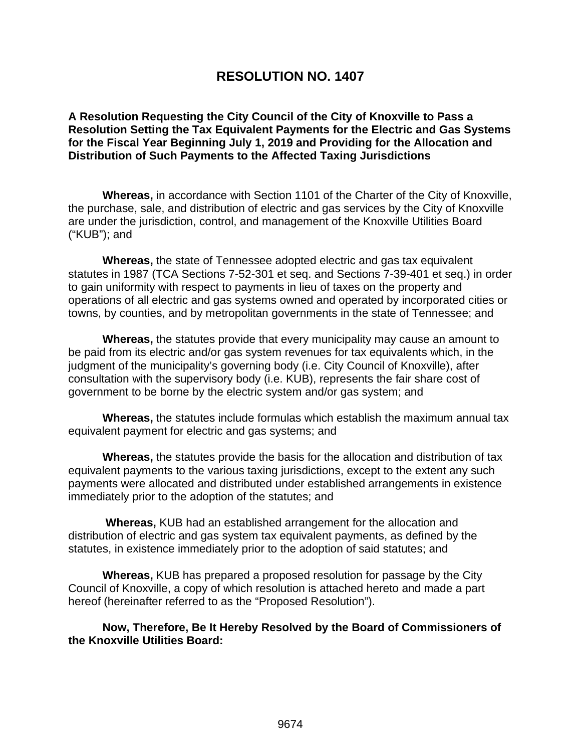# **RESOLUTION NO. 1407**

**A Resolution Requesting the City Council of the City of Knoxville to Pass a Resolution Setting the Tax Equivalent Payments for the Electric and Gas Systems for the Fiscal Year Beginning July 1, 2019 and Providing for the Allocation and Distribution of Such Payments to the Affected Taxing Jurisdictions**

**Whereas,** in accordance with Section 1101 of the Charter of the City of Knoxville, the purchase, sale, and distribution of electric and gas services by the City of Knoxville are under the jurisdiction, control, and management of the Knoxville Utilities Board ("KUB"); and

**Whereas,** the state of Tennessee adopted electric and gas tax equivalent statutes in 1987 (TCA Sections 7-52-301 et seq. and Sections 7-39-401 et seq.) in order to gain uniformity with respect to payments in lieu of taxes on the property and operations of all electric and gas systems owned and operated by incorporated cities or towns, by counties, and by metropolitan governments in the state of Tennessee; and

**Whereas,** the statutes provide that every municipality may cause an amount to be paid from its electric and/or gas system revenues for tax equivalents which, in the judgment of the municipality's governing body (i.e. City Council of Knoxville), after consultation with the supervisory body (i.e. KUB), represents the fair share cost of government to be borne by the electric system and/or gas system; and

**Whereas,** the statutes include formulas which establish the maximum annual tax equivalent payment for electric and gas systems; and

**Whereas,** the statutes provide the basis for the allocation and distribution of tax equivalent payments to the various taxing jurisdictions, except to the extent any such payments were allocated and distributed under established arrangements in existence immediately prior to the adoption of the statutes; and

 **Whereas,** KUB had an established arrangement for the allocation and distribution of electric and gas system tax equivalent payments, as defined by the statutes, in existence immediately prior to the adoption of said statutes; and

**Whereas,** KUB has prepared a proposed resolution for passage by the City Council of Knoxville, a copy of which resolution is attached hereto and made a part hereof (hereinafter referred to as the "Proposed Resolution").

**Now, Therefore, Be It Hereby Resolved by the Board of Commissioners of the Knoxville Utilities Board:**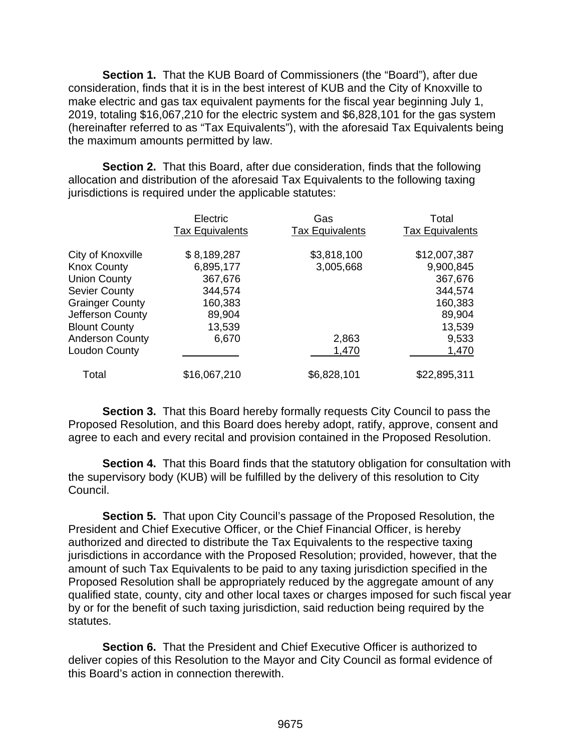**Section 1.** That the KUB Board of Commissioners (the "Board"), after due consideration, finds that it is in the best interest of KUB and the City of Knoxville to make electric and gas tax equivalent payments for the fiscal year beginning July 1, 2019, totaling \$16,067,210 for the electric system and \$6,828,101 for the gas system (hereinafter referred to as "Tax Equivalents"), with the aforesaid Tax Equivalents being the maximum amounts permitted by law.

**Section 2.** That this Board, after due consideration, finds that the following allocation and distribution of the aforesaid Tax Equivalents to the following taxing jurisdictions is required under the applicable statutes:

|                        | Electric<br><b>Tax Equivalents</b> | Gas<br><b>Tax Equivalents</b> | Total<br><b>Tax Equivalents</b> |
|------------------------|------------------------------------|-------------------------------|---------------------------------|
| City of Knoxville      | \$8,189,287                        | \$3,818,100                   | \$12,007,387                    |
| <b>Knox County</b>     | 6,895,177                          | 3,005,668                     | 9,900,845                       |
| <b>Union County</b>    | 367,676                            |                               | 367,676                         |
| <b>Sevier County</b>   | 344,574                            |                               | 344,574                         |
| <b>Grainger County</b> | 160,383                            |                               | 160,383                         |
| Jefferson County       | 89,904                             |                               | 89,904                          |
| <b>Blount County</b>   | 13,539                             |                               | 13,539                          |
| <b>Anderson County</b> | 6,670                              | 2,863                         | 9,533                           |
| Loudon County          |                                    | 1,470                         | 1,470                           |
| Total                  | \$16,067,210                       | \$6,828,101                   | \$22,895,311                    |

**Section 3.** That this Board hereby formally requests City Council to pass the Proposed Resolution, and this Board does hereby adopt, ratify, approve, consent and agree to each and every recital and provision contained in the Proposed Resolution.

**Section 4.** That this Board finds that the statutory obligation for consultation with the supervisory body (KUB) will be fulfilled by the delivery of this resolution to City Council.

**Section 5.** That upon City Council's passage of the Proposed Resolution, the President and Chief Executive Officer, or the Chief Financial Officer, is hereby authorized and directed to distribute the Tax Equivalents to the respective taxing jurisdictions in accordance with the Proposed Resolution; provided, however, that the amount of such Tax Equivalents to be paid to any taxing jurisdiction specified in the Proposed Resolution shall be appropriately reduced by the aggregate amount of any qualified state, county, city and other local taxes or charges imposed for such fiscal year by or for the benefit of such taxing jurisdiction, said reduction being required by the statutes.

**Section 6.** That the President and Chief Executive Officer is authorized to deliver copies of this Resolution to the Mayor and City Council as formal evidence of this Board's action in connection therewith.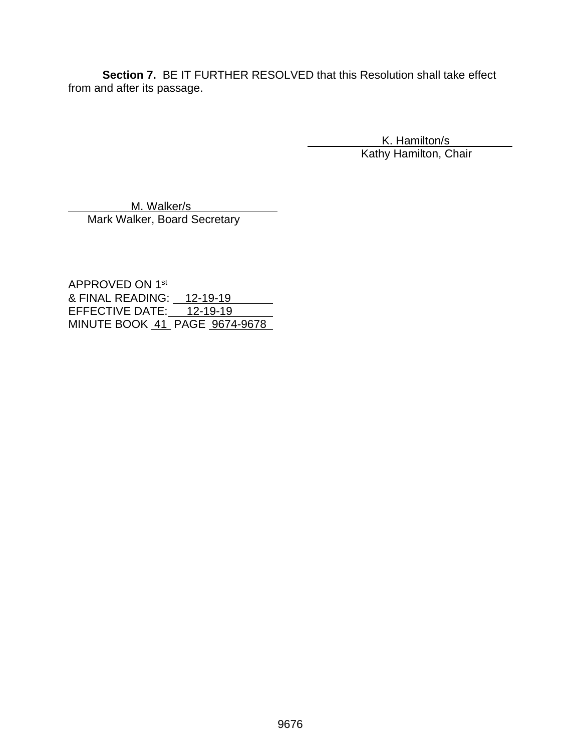**Section 7.** BE IT FURTHER RESOLVED that this Resolution shall take effect from and after its passage.

> K. Hamilton/s Kathy Hamilton, Chair

M. Walker/s Mark Walker, Board Secretary

APPROVED ON 1st & FINAL READING: 12-19-19 EFFECTIVE DATE: 12-19-19 MINUTE BOOK 41 PAGE 9674-9678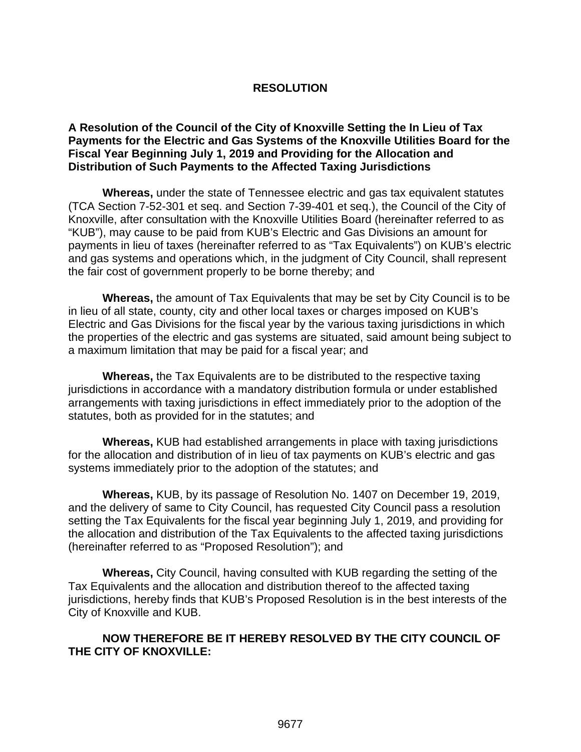# **RESOLUTION**

#### **A Resolution of the Council of the City of Knoxville Setting the In Lieu of Tax Payments for the Electric and Gas Systems of the Knoxville Utilities Board for the Fiscal Year Beginning July 1, 2019 and Providing for the Allocation and Distribution of Such Payments to the Affected Taxing Jurisdictions**

**Whereas,** under the state of Tennessee electric and gas tax equivalent statutes (TCA Section 7-52-301 et seq. and Section 7-39-401 et seq.), the Council of the City of Knoxville, after consultation with the Knoxville Utilities Board (hereinafter referred to as "KUB"), may cause to be paid from KUB's Electric and Gas Divisions an amount for payments in lieu of taxes (hereinafter referred to as "Tax Equivalents") on KUB's electric and gas systems and operations which, in the judgment of City Council, shall represent the fair cost of government properly to be borne thereby; and

**Whereas,** the amount of Tax Equivalents that may be set by City Council is to be in lieu of all state, county, city and other local taxes or charges imposed on KUB's Electric and Gas Divisions for the fiscal year by the various taxing jurisdictions in which the properties of the electric and gas systems are situated, said amount being subject to a maximum limitation that may be paid for a fiscal year; and

**Whereas,** the Tax Equivalents are to be distributed to the respective taxing jurisdictions in accordance with a mandatory distribution formula or under established arrangements with taxing jurisdictions in effect immediately prior to the adoption of the statutes, both as provided for in the statutes; and

**Whereas,** KUB had established arrangements in place with taxing jurisdictions for the allocation and distribution of in lieu of tax payments on KUB's electric and gas systems immediately prior to the adoption of the statutes; and

**Whereas,** KUB, by its passage of Resolution No. 1407 on December 19, 2019, and the delivery of same to City Council, has requested City Council pass a resolution setting the Tax Equivalents for the fiscal year beginning July 1, 2019, and providing for the allocation and distribution of the Tax Equivalents to the affected taxing jurisdictions (hereinafter referred to as "Proposed Resolution"); and

**Whereas,** City Council, having consulted with KUB regarding the setting of the Tax Equivalents and the allocation and distribution thereof to the affected taxing jurisdictions, hereby finds that KUB's Proposed Resolution is in the best interests of the City of Knoxville and KUB.

# **NOW THEREFORE BE IT HEREBY RESOLVED BY THE CITY COUNCIL OF THE CITY OF KNOXVILLE:**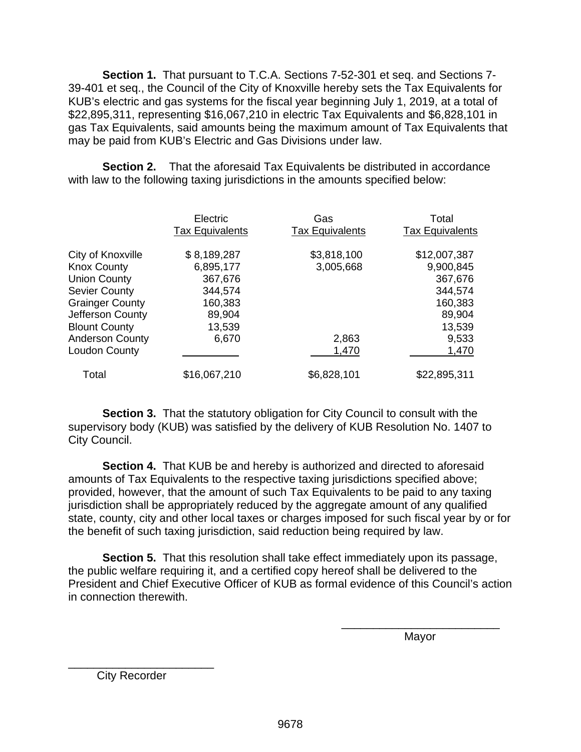**Section 1.** That pursuant to T.C.A. Sections 7-52-301 et seq. and Sections 7- 39-401 et seq., the Council of the City of Knoxville hereby sets the Tax Equivalents for KUB's electric and gas systems for the fiscal year beginning July 1, 2019, at a total of \$22,895,311, representing \$16,067,210 in electric Tax Equivalents and \$6,828,101 in gas Tax Equivalents, said amounts being the maximum amount of Tax Equivalents that may be paid from KUB's Electric and Gas Divisions under law.

**Section 2.** That the aforesaid Tax Equivalents be distributed in accordance with law to the following taxing jurisdictions in the amounts specified below:

|                        | Electric<br><b>Tax Equivalents</b> | Gas<br><b>Tax Equivalents</b> | Total<br><b>Tax Equivalents</b> |
|------------------------|------------------------------------|-------------------------------|---------------------------------|
| City of Knoxville      | \$8,189,287                        | \$3,818,100                   | \$12,007,387                    |
| <b>Knox County</b>     | 6,895,177                          | 3,005,668                     | 9,900,845                       |
| <b>Union County</b>    | 367,676                            |                               | 367,676                         |
| <b>Sevier County</b>   | 344,574                            |                               | 344,574                         |
| <b>Grainger County</b> | 160,383                            |                               | 160,383                         |
| Jefferson County       | 89,904                             |                               | 89,904                          |
| <b>Blount County</b>   | 13,539                             |                               | 13,539                          |
| <b>Anderson County</b> | 6,670                              | 2,863                         | 9,533                           |
| Loudon County          |                                    | 1,470                         | 1,470                           |
| Total                  | \$16,067,210                       | \$6,828,101                   | \$22,895,311                    |

**Section 3.** That the statutory obligation for City Council to consult with the supervisory body (KUB) was satisfied by the delivery of KUB Resolution No. 1407 to City Council.

**Section 4.** That KUB be and hereby is authorized and directed to aforesaid amounts of Tax Equivalents to the respective taxing jurisdictions specified above; provided, however, that the amount of such Tax Equivalents to be paid to any taxing jurisdiction shall be appropriately reduced by the aggregate amount of any qualified state, county, city and other local taxes or charges imposed for such fiscal year by or for the benefit of such taxing jurisdiction, said reduction being required by law.

**Section 5.** That this resolution shall take effect immediately upon its passage, the public welfare requiring it, and a certified copy hereof shall be delivered to the President and Chief Executive Officer of KUB as formal evidence of this Council's action in connection therewith.

 $\overline{\phantom{a}}$  , and the contract of the contract of the contract of the contract of the contract of the contract of the contract of the contract of the contract of the contract of the contract of the contract of the contrac distribution of the contract of the contract of the Mayor Mayor

\_\_\_\_\_\_\_\_\_\_\_\_\_\_\_\_\_\_\_\_\_\_\_ City Recorder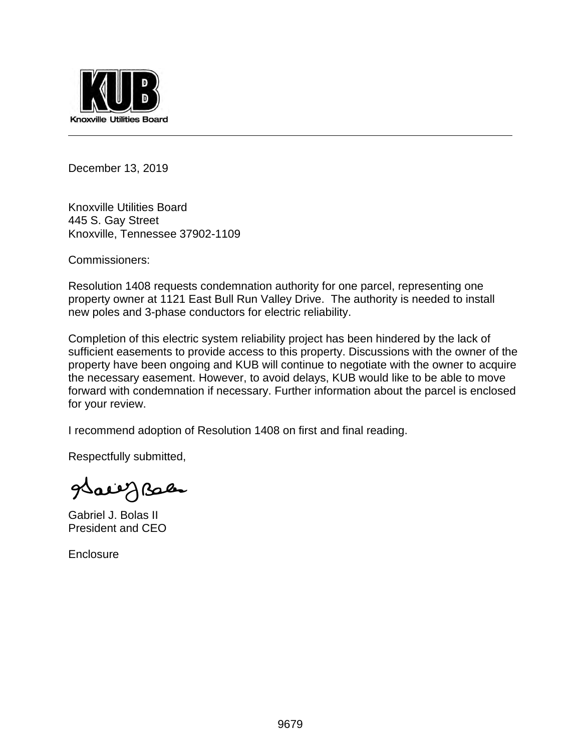

December 13, 2019

Knoxville Utilities Board 445 S. Gay Street Knoxville, Tennessee 37902-1109

Commissioners:

Resolution 1408 requests condemnation authority for one parcel, representing one property owner at 1121 East Bull Run Valley Drive. The authority is needed to install new poles and 3-phase conductors for electric reliability.

Completion of this electric system reliability project has been hindered by the lack of sufficient easements to provide access to this property. Discussions with the owner of the property have been ongoing and KUB will continue to negotiate with the owner to acquire the necessary easement. However, to avoid delays, KUB would like to be able to move forward with condemnation if necessary. Further information about the parcel is enclosed for your review.

I recommend adoption of Resolution 1408 on first and final reading.

Respectfully submitted,

Sally Bales

Gabriel J. Bolas II President and CEO

**Enclosure**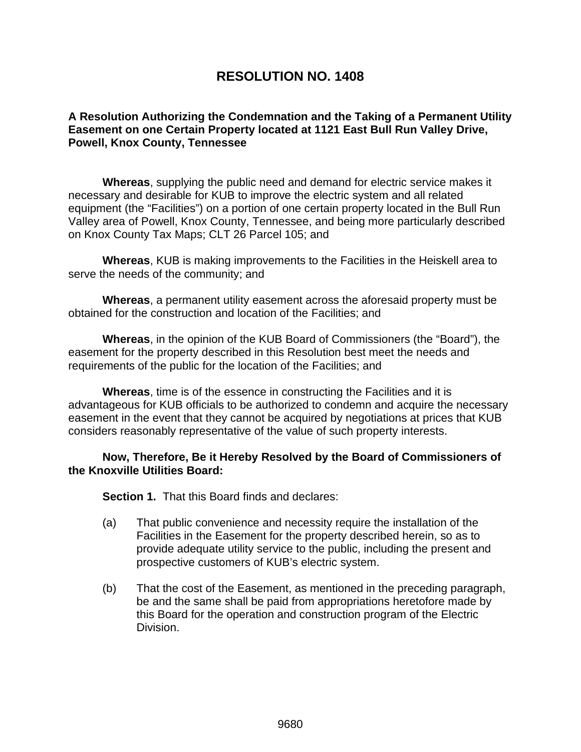# **RESOLUTION NO. 1408**

# **A Resolution Authorizing the Condemnation and the Taking of a Permanent Utility Easement on one Certain Property located at 1121 East Bull Run Valley Drive, Powell, Knox County, Tennessee**

**Whereas**, supplying the public need and demand for electric service makes it necessary and desirable for KUB to improve the electric system and all related equipment (the "Facilities") on a portion of one certain property located in the Bull Run Valley area of Powell, Knox County, Tennessee, and being more particularly described on Knox County Tax Maps; CLT 26 Parcel 105; and

**Whereas**, KUB is making improvements to the Facilities in the Heiskell area to serve the needs of the community; and

**Whereas**, a permanent utility easement across the aforesaid property must be obtained for the construction and location of the Facilities; and

**Whereas**, in the opinion of the KUB Board of Commissioners (the "Board"), the easement for the property described in this Resolution best meet the needs and requirements of the public for the location of the Facilities; and

**Whereas**, time is of the essence in constructing the Facilities and it is advantageous for KUB officials to be authorized to condemn and acquire the necessary easement in the event that they cannot be acquired by negotiations at prices that KUB considers reasonably representative of the value of such property interests.

#### **Now, Therefore, Be it Hereby Resolved by the Board of Commissioners of the Knoxville Utilities Board:**

**Section 1.** That this Board finds and declares:

- (a) That public convenience and necessity require the installation of the Facilities in the Easement for the property described herein, so as to provide adequate utility service to the public, including the present and prospective customers of KUB's electric system.
- (b) That the cost of the Easement, as mentioned in the preceding paragraph, be and the same shall be paid from appropriations heretofore made by this Board for the operation and construction program of the Electric Division.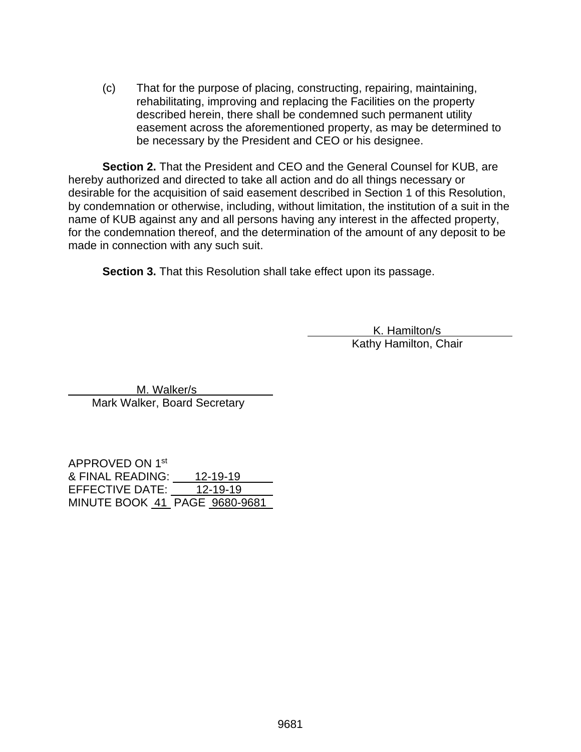(c) That for the purpose of placing, constructing, repairing, maintaining, rehabilitating, improving and replacing the Facilities on the property described herein, there shall be condemned such permanent utility easement across the aforementioned property, as may be determined to be necessary by the President and CEO or his designee.

**Section 2.** That the President and CEO and the General Counsel for KUB, are hereby authorized and directed to take all action and do all things necessary or desirable for the acquisition of said easement described in Section 1 of this Resolution, by condemnation or otherwise, including, without limitation, the institution of a suit in the name of KUB against any and all persons having any interest in the affected property, for the condemnation thereof, and the determination of the amount of any deposit to be made in connection with any such suit.

**Section 3.** That this Resolution shall take effect upon its passage.

 K. Hamilton/s Kathy Hamilton, Chair

 M. Walker/s Mark Walker, Board Secretary

APPROVED ON 1st & FINAL READING: 12-19-19 EFFECTIVE DATE: 12-19-19 MINUTE BOOK 41 PAGE 9680-9681